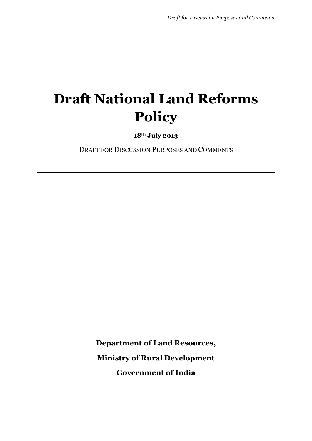# **Draft National Land Reforms Policy**

**18th July 2013**

DRAFT FOR DISCUSSION PURPOSES AND COMMENTS

**Department of Land Resources, Ministry of Rural Development Government of India**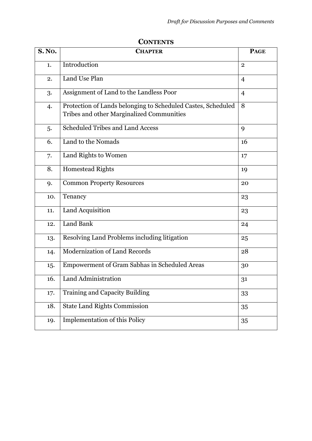| <b>S. No.</b> | <b>CHAPTER</b>                                                                                            | <b>PAGE</b>    |
|---------------|-----------------------------------------------------------------------------------------------------------|----------------|
| 1.            | Introduction                                                                                              | $\overline{2}$ |
| 2.            | Land Use Plan                                                                                             | $\overline{4}$ |
| 3.            | Assignment of Land to the Landless Poor                                                                   | $\overline{4}$ |
| 4.            | Protection of Lands belonging to Scheduled Castes, Scheduled<br>Tribes and other Marginalized Communities | 8              |
| 5.            | <b>Scheduled Tribes and Land Access</b>                                                                   | 9              |
| 6.            | Land to the Nomads                                                                                        | 16             |
| 7.            | Land Rights to Women                                                                                      | 17             |
| 8.            | Homestead Rights                                                                                          | 19             |
| 9.            | <b>Common Property Resources</b>                                                                          | 20             |
| 10.           | Tenancy                                                                                                   | 23             |
| 11.           | Land Acquisition                                                                                          | 23             |
| 12.           | <b>Land Bank</b>                                                                                          | 24             |
| 13.           | Resolving Land Problems including litigation                                                              | 25             |
| 14.           | <b>Modernization of Land Records</b>                                                                      | 28             |
| 15.           | Empowerment of Gram Sabhas in Scheduled Areas                                                             | 30             |
| 16.           | Land Administration                                                                                       | 31             |
| 17.           | Training and Capacity Building                                                                            | 33             |
| 18.           | <b>State Land Rights Commission</b>                                                                       | 35             |
| 19.           | <b>Implementation of this Policy</b>                                                                      | 35             |

#### **CONTENTS**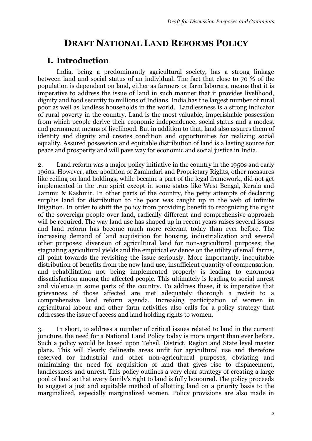# **DRAFT NATIONAL LAND REFORMS POLICY**

## **I. Introduction**

India, being a predominantly agricultural society, has a strong linkage between land and social status of an individual. The fact that close to 70 % of the population is dependent on land, either as farmers or farm laborers, means that it is imperative to address the issue of land in such manner that it provides livelihood, dignity and food security to millions of Indians. India has the largest number of rural poor as well as landless households in the world. Landlessness is a strong indicator of rural poverty in the country. Land is the most valuable, imperishable possession from which people derive their economic independence, social status and a modest and permanent means of livelihood. But in addition to that, land also assures them of identity and dignity and creates condition and opportunities for realizing social equality. Assured possession and equitable distribution of land is a lasting source for peace and prosperity and will pave way for economic and social justice in India.

2. Land reform was a major policy initiative in the country in the 1950s and early 1960s. However, after abolition of Zamindari and Proprietary Rights, other measures like ceiling on land holdings, while became a part of the legal framework, did not get implemented in the true spirit except in some states like West Bengal, Kerala and Jammu & Kashmir. In other parts of the country, the petty attempts of declaring surplus land for distribution to the poor was caught up in the web of infinite litigation. In order to shift the policy from providing benefit to recognizing the right of the sovereign people over land, radically different and comprehensive approach will be required. The way land use has shaped up in recent years raises several issues and land reform has become much more relevant today than ever before. The increasing demand of land acquisition for housing, industrialization and several other purposes; diversion of agricultural land for non-agricultural purposes; the stagnating agricultural yields and the empirical evidence on the utility of small farms, all point towards the revisiting the issue seriously. More importantly, inequitable distribution of benefits from the new land use, insufficient quantity of compensation, and rehabilitation not being implemented properly is leading to enormous dissatisfaction among the affected people. This ultimately is leading to social unrest and violence in some parts of the country. To address these, it is imperative that grievances of those affected are met adequately thorough a revisit to a comprehensive land reform agenda. Increasing participation of women in agricultural labour and other farm activities also calls for a policy strategy that addresses the issue of access and land holding rights to women.

3. In short, to address a number of critical issues related to land in the current juncture, the need for a National Land Policy today is more urgent than ever before. Such a policy would be based upon Tehsil, District, Region and State level master plans. This will clearly delineate areas unfit for agricultural use and therefore reserved for industrial and other non-agricultural purposes, obviating and minimizing the need for acquisition of land that gives rise to displacement, landlessness and unrest. This policy outlines a very clear strategy of creating a large pool of land so that every family's right to land is fully honoured. The policy proceeds to suggest a just and equitable method of allotting land on a priority basis to the marginalized, especially marginalized women. Policy provisions are also made in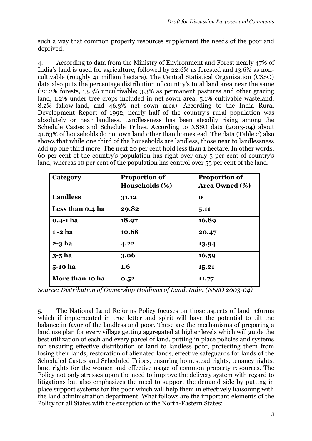such a way that common property resources supplement the needs of the poor and deprived.

4. According to data from the Ministry of Environment and Forest nearly 47% of India's land is used for agriculture, followed by 22.6% as forested and 13.6% as noncultivable (roughly 41 million hectare). The Central Statistical Organisation (CSSO) data also puts the percentage distribution of country's total land area near the same (22.2% forests, 13.3% uncultivable; 3.3% as permanent pastures and other grazing land, 1.2% under tree crops included in net sown area, 5.1% cultivable wasteland, 8.2% fallow-land, and 46.3% net sown area). According to the India Rural Development Report of 1992, nearly half of the country's rural population was absolutely or near landless. Landlessness has been steadily rising among the Schedule Castes and Schedule Tribes. According to NSSO data (2003-04) about 41.63% of households do not own land other than homestead. The data (Table 2) also shows that while one third of the households are landless, those near to landlessness add up one third more. The next 20 per cent hold less than 1 hectare. In other words, 60 per cent of the country's population has right over only 5 per cent of country's land; whereas 10 per cent of the population has control over 55 per cent of the land.

| Category         | <b>Proportion of</b> | <b>Proportion of</b>  |
|------------------|----------------------|-----------------------|
|                  | Households (%)       | <b>Area Owned (%)</b> |
| <b>Landless</b>  | 31.12                | O                     |
| Less than 0.4 ha | 29.82                | 5.11                  |
| $0.4 - 1$ ha     | 18.97                | 16.89                 |
| $1 - 2$ ha       | 10.68                | 20.47                 |
| $2-3$ ha         | 4.22                 | 13.94                 |
| $3-5$ ha         | 3.06                 | 16.59                 |
| 5-10 ha          | $1.6\phantom{0}$     | 15.21                 |
| More than 10 ha  | 0.52                 | 11.77                 |

*Source: Distribution of Ownership Holdings of Land, India (NSSO 2003-04)*.

5. The National Land Reforms Policy focuses on those aspects of land reforms which if implemented in true letter and spirit will have the potential to tilt the balance in favor of the landless and poor. These are the mechanisms of preparing a land use plan for every village getting aggregated at higher levels which will guide the best utilization of each and every parcel of land, putting in place policies and systems for ensuring effective distribution of land to landless poor, protecting them from losing their lands, restoration of alienated lands, effective safeguards for lands of the Scheduled Castes and Scheduled Tribes, ensuring homestead rights, tenancy rights, land rights for the women and effective usage of common property resources. The Policy not only stresses upon the need to improve the delivery system with regard to litigations but also emphasizes the need to support the demand side by putting in place support systems for the poor which will help them in effectively liaisoning with the land administration department. What follows are the important elements of the Policy for all States with the exception of the North-Eastern States: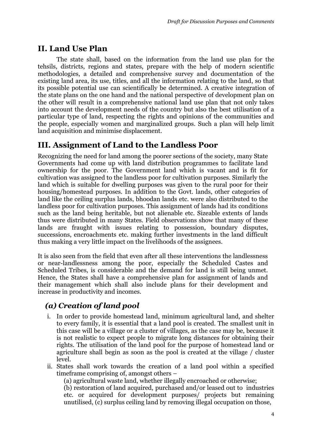## **II. Land Use Plan**

The state shall, based on the information from the land use plan for the tehsils, districts, regions and states, prepare with the help of modern scientific methodologies, a detailed and comprehensive survey and documentation of the existing land area, its use, titles, and all the information relating to the land, so that its possible potential use can scientifically be determined. A creative integration of the state plans on the one hand and the national perspective of development plan on the other will result in a comprehensive national land use plan that not only takes into account the development needs of the country but also the best utilisation of a particular type of land, respecting the rights and opinions of the communities and the people, especially women and marginalized groups. Such a plan will help limit land acquisition and minimise displacement.

# **III. Assignment of Land to the Landless Poor**

Recognizing the need for land among the poorer sections of the society, many State Governments had come up with land distribution programmes to facilitate land ownership for the poor. The Government land which is vacant and is fit for cultivation was assigned to the landless poor for cultivation purposes. Similarly the land which is suitable for dwelling purposes was given to the rural poor for their housing/homestead purposes. In addition to the Govt. lands, other categories of land like the ceiling surplus lands, bhoodan lands etc. were also distributed to the landless poor for cultivation purposes. This assignment of lands had its conditions such as the land being heritable, but not alienable etc. Sizeable extents of lands thus were distributed in many States. Field observations show that many of these lands are fraught with issues relating to possession, boundary disputes, successions, encroachments etc. making further investments in the land difficult thus making a very little impact on the livelihoods of the assignees.

It is also seen from the field that even after all these interventions the landlessness or near-landlessness among the poor, especially the Scheduled Castes and Scheduled Tribes, is considerable and the demand for land is still being unmet. Hence, the States shall have a comprehensive plan for assignment of lands and their management which shall also include plans for their development and increase in productivity and incomes.

# *(a) Creation of land pool*

- i. In order to provide homestead land, minimum agricultural land, and shelter to every family, it is essential that a land pool is created. The smallest unit in this case will be a village or a cluster of villages, as the case may be, because it is not realistic to expect people to migrate long distances for obtaining their rights. The utilisation of the land pool for the purpose of homestead land or agriculture shall begin as soon as the pool is created at the village / cluster level.
- ii. States shall work towards the creation of a land pool within a specified timeframe comprising of, amongst others –

(a) agricultural waste land, whether illegally encroached or otherwise;

(b) restoration of land acquired, purchased and/or leased out to industries etc. or acquired for development purposes/ projects but remaining unutilised, (c) surplus ceiling land by removing illegal occupation on those,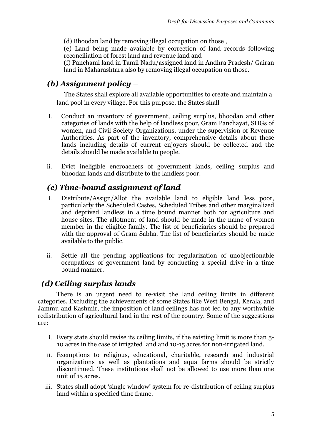(d) Bhoodan land by removing illegal occupation on those ,

(e) Land being made available by correction of land records following reconciliation of forest land and revenue land and

(f) Panchami land in Tamil Nadu/assigned land in Andhra Pradesh/ Gairan land in Maharashtara also by removing illegal occupation on those.

#### *(b) Assignment policy –*

 The States shall explore all available opportunities to create and maintain a land pool in every village. For this purpose, the States shall

- i. Conduct an inventory of government, ceiling surplus, bhoodan and other categories of lands with the help of landless poor, Gram Panchayat, SHGs of women, and Civil Society Organizations, under the supervision of Revenue Authorities. As part of the inventory, comprehensive details about these lands including details of current enjoyers should be collected and the details should be made available to people.
- ii. Evict ineligible encroachers of government lands, ceiling surplus and bhoodan lands and distribute to the landless poor.

## *(c) Time-bound assignment of land*

- i. Distribute/Assign/Allot the available land to eligible land less poor, particularly the Scheduled Castes, Scheduled Tribes and other marginalized and deprived landless in a time bound manner both for agriculture and house sites. The allotment of land should be made in the name of women member in the eligible family. The list of beneficiaries should be prepared with the approval of Gram Sabha. The list of beneficiaries should be made available to the public.
- ii. Settle all the pending applications for regularization of unobjectionable occupations of government land by conducting a special drive in a time bound manner.

#### *(d) Ceiling surplus lands*

There is an urgent need to re-visit the land ceiling limits in different categories. Excluding the achievements of some States like West Bengal, Kerala, and Jammu and Kashmir, the imposition of land ceilings has not led to any worthwhile redistribution of agricultural land in the rest of the country. Some of the suggestions are:

- i. Every state should revise its ceiling limits, if the existing limit is more than 5- 10 acres in the case of irrigated land and 10-15 acres for non-irrigated land.
- ii. Exemptions to religious, educational, charitable, research and industrial organizations as well as plantations and aqua farms should be strictly discontinued. These institutions shall not be allowed to use more than one unit of 15 acres.
- iii. States shall adopt 'single window' system for re-distribution of ceiling surplus land within a specified time frame.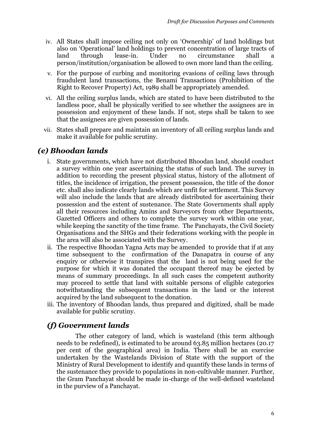- iv. All States shall impose ceiling not only on 'Ownership' of land holdings but also on 'Operational' land holdings to prevent concentration of large tracts of land through lease-in. Under no circumstance shall a person/institution/organisation be allowed to own more land than the ceiling.
- v. For the purpose of curbing and monitoring evasions of ceiling laws through fraudulent land transactions, the Benami Transactions (Prohibition of the Right to Recover Property) Act, 1989 shall be appropriately amended.
- vi. All the ceiling surplus lands, which are stated to have been distributed to the landless poor, shall be physically verified to see whether the assignees are in possession and enjoyment of these lands. If not, steps shall be taken to see that the assignees are given possession of lands.
- vii. States shall prepare and maintain an inventory of all ceiling surplus lands and make it available for public scrutiny.

#### *(e) Bhoodan lands*

- i. State governments, which have not distributed Bhoodan land, should conduct a survey within one year ascertaining the status of such land. The survey in addition to recording the present physical status, history of the allotment of titles, the incidence of irrigation, the present possession, the title of the donor etc. shall also indicate clearly lands which are unfit for settlement. This Survey will also include the lands that are already distributed for ascertaining their possession and the extent of sustenance. The State Governments shall apply all their resources including Amins and Surveyors from other Departments, Gazetted Officers and others to complete the survey work within one year, while keeping the sanctity of the time frame. The Panchayats, the Civil Society Organisations and the SHGs and their federations working with the people in the area will also be associated with the Survey.
- ii. The respective Bhoodan Yagna Acts may be amended to provide that if at any time subsequent to the confirmation of the Danapatra in course of any enquiry or otherwise it transpires that the land is not being used for the purpose for which it was donated the occupant thereof may be ejected by means of summary proceedings. In all such cases the competent authority may proceed to settle that land with suitable persons of eligible categories notwithstanding the subsequent transactions in the land or the interest acquired by the land subsequent to the donation.
- iii. The inventory of Bhoodan lands, thus prepared and digitized, shall be made available for public scrutiny.

#### *(f) Government lands*

The other category of land, which is wasteland (this term although needs to be redefined), is estimated to be around 63.85 million hectares (20.17 per cent of the geographical area) in India. There shall be an exercise undertaken by the Wastelands Division of State with the support of the Ministry of Rural Development to identify and quantify these lands in terms of the sustenance they provide to populations in non-cultivable manner. Further, the Gram Panchayat should be made in-charge of the well-defined wasteland in the purview of a Panchayat.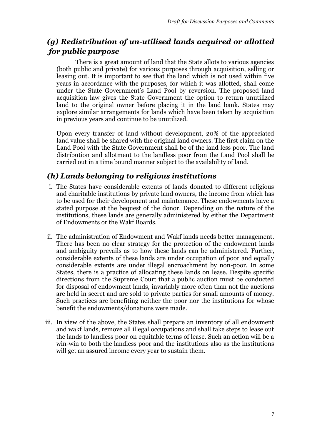# *(g) Redistribution of un-utilised lands acquired or allotted for public purpose*

There is a great amount of land that the State allots to various agencies (both public and private) for various purposes through acquisition, selling or leasing out. It is important to see that the land which is not used within five years in accordance with the purposes, for which it was allotted, shall come under the State Government's Land Pool by reversion. The proposed land acquisition law gives the State Government the option to return unutilized land to the original owner before placing it in the land bank. States may explore similar arrangements for lands which have been taken by acquisition in previous years and continue to be unutilized.

Upon every transfer of land without development, 20% of the appreciated land value shall be shared with the original land owners. The first claim on the Land Pool with the State Government shall be of the land less poor. The land distribution and allotment to the landless poor from the Land Pool shall be carried out in a time bound manner subject to the availability of land.

#### *(h) Lands belonging to religious institutions*

- i. The States have considerable extents of lands donated to different religious and charitable institutions by private land owners, the income from which has to be used for their development and maintenance. These endowments have a stated purpose at the bequest of the donor. Depending on the nature of the institutions, these lands are generally administered by either the Department of Endowments or the Wakf Boards.
- ii. The administration of Endowment and Wakf lands needs better management. There has been no clear strategy for the protection of the endowment lands and ambiguity prevails as to how these lands can be administered. Further, considerable extents of these lands are under occupation of poor and equally considerable extents are under illegal encroachment by non-poor. In some States, there is a practice of allocating these lands on lease. Despite specific directions from the Supreme Court that a public auction must be conducted for disposal of endowment lands, invariably more often than not the auctions are held in secret and are sold to private parties for small amounts of money. Such practices are benefiting neither the poor nor the institutions for whose benefit the endowments/donations were made.
- iii. In view of the above, the States shall prepare an inventory of all endowment and wakf lands, remove all illegal occupations and shall take steps to lease out the lands to landless poor on equitable terms of lease. Such an action will be a win-win to both the landless poor and the institutions also as the institutions will get an assured income every year to sustain them.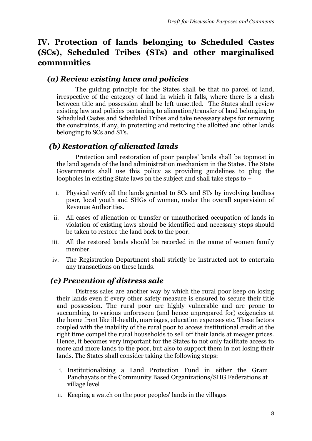# **IV. Protection of lands belonging to Scheduled Castes (SCs), Scheduled Tribes (STs) and other marginalised communities**

#### *(a) Review existing laws and policies*

The guiding principle for the States shall be that no parcel of land, irrespective of the category of land in which it falls, where there is a clash between title and possession shall be left unsettled. The States shall review existing law and policies pertaining to alienation/transfer of land belonging to Scheduled Castes and Scheduled Tribes and take necessary steps for removing the constraints, if any, in protecting and restoring the allotted and other lands belonging to SCs and STs.

## *(b) Restoration of alienated lands*

Protection and restoration of poor peoples' lands shall be topmost in the land agenda of the land administration mechanism in the States. The State Governments shall use this policy as providing guidelines to plug the loopholes in existing State laws on the subject and shall take steps to –

- i. Physical verify all the lands granted to SCs and STs by involving landless poor, local youth and SHGs of women, under the overall supervision of Revenue Authorities.
- ii. All cases of alienation or transfer or unauthorized occupation of lands in violation of existing laws should be identified and necessary steps should be taken to restore the land back to the poor.
- iii. All the restored lands should be recorded in the name of women family member.
- iv. The Registration Department shall strictly be instructed not to entertain any transactions on these lands.

## *(c) Prevention of distress sale*

Distress sales are another way by which the rural poor keep on losing their lands even if every other safety measure is ensured to secure their title and possession. The rural poor are highly vulnerable and are prone to succumbing to various unforeseen (and hence unprepared for) exigencies at the home front like ill-health, marriages, education expenses etc. These factors coupled with the inability of the rural poor to access institutional credit at the right time compel the rural households to sell off their lands at meager prices. Hence, it becomes very important for the States to not only facilitate access to more and more lands to the poor, but also to support them in not losing their lands. The States shall consider taking the following steps:

- i. Institutionalizing a Land Protection Fund in either the Gram Panchayats or the Community Based Organizations/SHG Federations at village level
- ii. Keeping a watch on the poor peoples' lands in the villages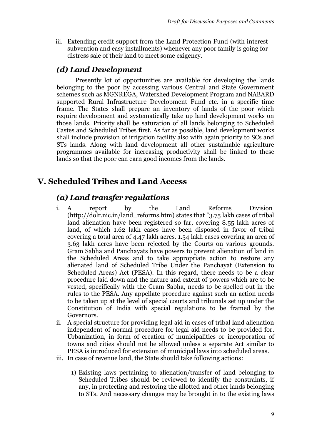iii. Extending credit support from the Land Protection Fund (with interest subvention and easy installments) whenever any poor family is going for distress sale of their land to meet some exigency.

## *(d) Land Development*

Presently lot of opportunities are available for developing the lands belonging to the poor by accessing various Central and State Government schemes such as MGNREGA, Watershed Development Program and NABARD supported Rural Infrastructure Development Fund etc. in a specific time frame. The States shall prepare an inventory of lands of the poor which require development and systematically take up land development works on those lands. Priority shall be saturation of all lands belonging to Scheduled Castes and Scheduled Tribes first. As far as possible, land development works shall include provision of irrigation facility also with again priority to SCs and STs lands. Along with land development all other sustainable agriculture programmes available for increasing productivity shall be linked to these lands so that the poor can earn good incomes from the lands.

# **V. Scheduled Tribes and Land Access**

## *(a) Land transfer regulations*

- i. A report by the Land Reforms Division [\(http://dolr.nic.in/land\\_reforms.htm](http://dolr.nic.in/land_reforms.htm)) states that "3.75 lakh cases of tribal land alienation have been registered so far, covering 8.55 lakh acres of land, of which 1.62 lakh cases have been disposed in favor of tribal covering a total area of 4.47 lakh acres. 1.54 lakh cases covering an area of 3.63 lakh acres have been rejected by the Courts on various grounds. Gram Sabha and Panchayats have powers to prevent alienation of land in the Scheduled Areas and to take appropriate action to restore any alienated land of Scheduled Tribe Under the Panchayat (Extension to Scheduled Areas) Act (PESA). In this regard, there needs to be a clear procedure laid down and the nature and extent of powers which are to be vested, specifically with the Gram Sabha, needs to be spelled out in the rules to the PESA. Any appellate procedure against such an action needs to be taken up at the level of special courts and tribunals set up under the Constitution of India with special regulations to be framed by the Governors.
- ii. A special structure for providing legal aid in cases of tribal land alienation independent of normal procedure for legal aid needs to be provided for. Urbanization, in form of creation of municipalities or incorporation of towns and cities should not be allowed unless a separate Act similar to PESA is introduced for extension of municipal laws into scheduled areas.
- iii. In case of revenue land, the State should take following actions:
	- 1) Existing laws pertaining to alienation/transfer of land belonging to Scheduled Tribes should be reviewed to identify the constraints, if any, in protecting and restoring the allotted and other lands belonging to STs. And necessary changes may be brought in to the existing laws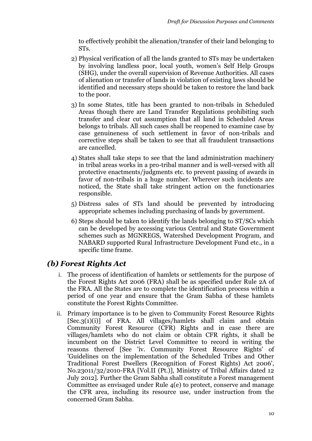to effectively prohibit the alienation/transfer of their land belonging to STs.

- 2) Physical verification of all the lands granted to STs may be undertaken by involving landless poor, local youth, women's Self Help Groups (SHG), under the overall supervision of Revenue Authorities. All cases of alienation or transfer of lands in violation of existing laws should be identified and necessary steps should be taken to restore the land back to the poor.
- 3) In some States, title has been granted to non-tribals in Scheduled Areas though there are Land Transfer Regulations prohibiting such transfer and clear cut assumption that all land in Scheduled Areas belongs to tribals. All such cases shall be reopened to examine case by case genuineness of such settlement in favor of non-tribals and corrective steps shall be taken to see that all fraudulent transactions are cancelled.
- 4) States shall take steps to see that the land administration machinery in tribal areas works in a pro-tribal manner and is well-versed with all protective enactments/judgments etc. to prevent passing of awards in favor of non-tribals in a huge number. Wherever such incidents are noticed, the State shall take stringent action on the functionaries responsible.
- 5) Distress sales of STs land should be prevented by introducing appropriate schemes including purchasing of lands by government.
- 6) Steps should be taken to identify the lands belonging to ST/SCs which can be developed by accessing various Central and State Government schemes such as MGNREGS, Watershed Development Program, and NABARD supported Rural Infrastructure Development Fund etc., in a specific time frame.

## *(b) Forest Rights Act*

- i. The process of identification of hamlets or settlements for the purpose of the Forest Rights Act 2006 (FRA) shall be as specified under Rule 2A of the FRA. All the States are to complete the identification process within a period of one year and ensure that the Gram Sabha of these hamlets constitute the Forest Rights Committee.
- ii. Primary importance is to be given to Community Forest Resource Rights [Sec.3(1)(i)] of FRA. All villages/hamlets shall claim and obtain Community Forest Resource (CFR) Rights and in case there are villages/hamlets who do not claim or obtain CFR rights, it shall be incumbent on the District Level Committee to record in writing the reasons thereof [See 'iv. Community Forest Resource Rights' of 'Guidelines on the implementation of the Scheduled Tribes and Other Traditional Forest Dwellers (Recognition of Forest Rights) Act 2006', No.23011/32/2010-FRA [Vol.II (Pt.)], Ministry of Tribal Affairs dated 12 July 2012]. Further the Gram Sabha shall constitute a Forest management Committee as envisaged under Rule 4(e) to protect, conserve and manage the CFR area, including its resource use, under instruction from the concerned Gram Sabha.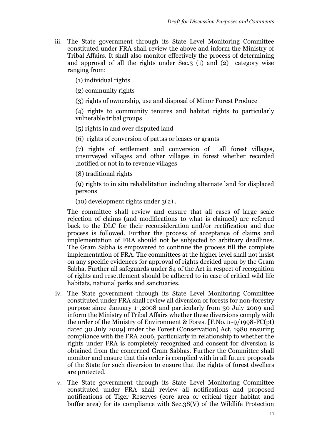iii. The State government through its State Level Monitoring Committee constituted under FRA shall review the above and inform the Ministry of Tribal Affairs. It shall also monitor effectively the process of determining and approval of all the rights under Sec.3 (1) and (2) category wise ranging from:

(1) individual rights

(2) community rights

(3) rights of ownership, use and disposal of Minor Forest Produce

(4) rights to community tenures and habitat rights to particularly vulnerable tribal groups

(5) rights in and over disputed land

(6) rights of conversion of pattas or leases or grants

(7) rights of settlement and conversion of all forest villages, unsurveyed villages and other villages in forest whether recorded ,notified or not in to revenue villages

(8) traditional rights

(9) rights to in situ rehabilitation including alternate land for displaced persons

(10) development rights under 3(2) .

The committee shall review and ensure that all cases of large scale rejection of claims (and modifications to what is claimed) are referred back to the DLC for their reconsideration and/or rectification and due process is followed. Further the process of acceptance of claims and implementation of FRA should not be subjected to arbitrary deadlines. The Gram Sabha is empowered to continue the process till the complete implementation of FRA. The committees at the higher level shall not insist on any specific evidences for approval of rights decided upon by the Gram Sabha. Further all safeguards under S4 of the Act in respect of recognition of rights and resettlement should be adhered to in case of critical wild life habitats, national parks and sanctuaries.

- iv. The State government through its State Level Monitoring Committee constituted under FRA shall review all diversion of forests for non-forestry purpose since January 1 st ,2008 and particularly from 30 July 2009 and inform the Ministry of Tribal Affairs whether these diversions comply with the order of the Ministry of Environment & Forest [F.No.11-9/1998-FC(pt) dated 30 July 2009] under the Forest (Conservation) Act, 1980 ensuring compliance with the FRA 2006, particularly in relationship to whether the rights under FRA is completely recognized and consent for diversion is obtained from the concerned Gram Sabhas. Further the Committee shall monitor and ensure that this order is complied with in all future proposals of the State for such diversion to ensure that the rights of forest dwellers are protected.
- v. The State government through its State Level Monitoring Committee constituted under FRA shall review all notifications and proposed notifications of Tiger Reserves (core area or critical tiger habitat and buffer area) for its compliance with Sec.38(V) of the Wildlife Protection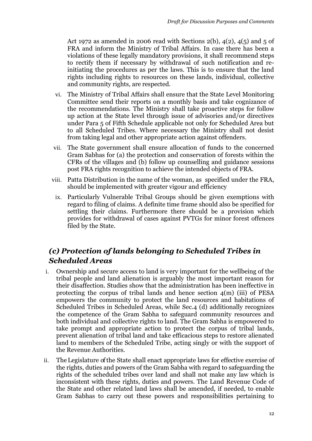Act 1972 as amended in 2006 read with Sections  $2(b)$ ,  $4(2)$ ,  $4(5)$  and 5 of FRA and inform the Ministry of Tribal Affairs. In case there has been a violations of these legally mandatory provisions, it shall recommend steps to rectify them if necessary by withdrawal of such notification and reinitiating the procedures as per the laws. This is to ensure that the land rights including rights to resources on these lands, individual, collective and community rights, are respected.

- vi. The Ministry of Tribal Affairs shall ensure that the State Level Monitoring Committee send their reports on a monthly basis and take cognizance of the recommendations. The Ministry shall take proactive steps for follow up action at the State level through issue of advisories and/or directives under Para 5 of Fifth Schedule applicable not only for Scheduled Area but to all Scheduled Tribes. Where necessary the Ministry shall not desist from taking legal and other appropriate action against offenders.
- vii. The State government shall ensure allocation of funds to the concerned Gram Sabhas for (a) the protection and conservation of forests within the CFRs of the villages and (b) follow up counselling and guidance sessions post FRA rights recognition to achieve the intended objects of FRA.
- viii. Patta Distribution in the name of the woman, as specified under the FRA, should be implemented with greater vigour and efficiency
- ix. Particularly Vulnerable Tribal Groups should be given exemptions with regard to filing of claims. A definite time frame should also be specified for settling their claims. Furthermore there should be a provision which provides for withdrawal of cases against PVTGs for minor forest offences filed by the State.

## *(c) Protection of lands belonging to Scheduled Tribes in Scheduled Areas*

- i. Ownership and secure access to land is very important for the wellbeing of the tribal people and land alienation is arguably the most important reason for their disaffection. Studies show that the administration has been ineffective in protecting the corpus of tribal lands and hence section 4(m) (iii) of PESA empowers the community to protect the land resources and habitations of Scheduled Tribes in Scheduled Areas, while Sec.4 (d) additionally recognizes the competence of the Gram Sabha to safeguard community resources and both individual and collective rights to land. The Gram Sabha is empowered to take prompt and appropriate action to protect the corpus of tribal lands, prevent alienation of tribal land and take efficacious steps to restore alienated land to members of the Scheduled Tribe, acting singly or with the support of the Revenue Authorities.
- ii. The Legislature ofthe State shall enact appropriate laws for effective exercise of the rights, duties and powers of the Gram Sabha with regard to safeguarding the rights of the scheduled tribes over land and shall not make any law which is inconsistent with these rights, duties and powers. The Land Revenue Code of the State and other related land laws shall be amended, if needed, to enable Gram Sabhas to carry out these powers and responsibilities pertaining to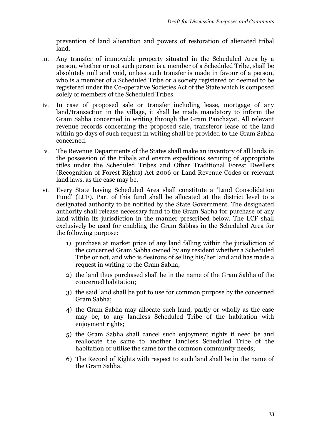prevention of land alienation and powers of restoration of alienated tribal land.

- iii. Any transfer of immovable property situated in the Scheduled Area by a person, whether or not such person is a member of a Scheduled Tribe, shall be absolutely null and void, unless such transfer is made in favour of a person, who is a member of a Scheduled Tribe or a society registered or deemed to be registered under the Co-operative Societies Act of the State which is composed solely of members of the Scheduled Tribes.
- iv. In case of proposed sale or transfer including lease, mortgage of any land/transaction in the village, it shall be made mandatory to inform the Gram Sabha concerned in writing through the Gram Panchayat. All relevant revenue records concerning the proposed sale, transferor lease of the land within 30 days of such request in writing shall be provided to the Gram Sabha concerned.
- v. The Revenue Departments of the States shall make an inventory of all lands in the possession of the tribals and ensure expeditious securing of appropriate titles under the Scheduled Tribes and Other Traditional Forest Dwellers (Recognition of Forest Rights) Act 2006 or Land Revenue Codes or relevant land laws, as the case may be.
- vi. Every State having Scheduled Area shall constitute a 'Land Consolidation Fund' (LCF). Part of this fund shall be allocated at the district level to a designated authority to be notified by the State Government. The designated authority shall release necessary fund to the Gram Sabha for purchase of any land within its jurisdiction in the manner prescribed below. The LCF shall exclusively be used for enabling the Gram Sabhas in the Scheduled Area for the following purpose:
	- 1) purchase at market price of any land falling within the jurisdiction of the concerned Gram Sabha owned by any resident whether a Scheduled Tribe or not, and who is desirous of selling his/her land and has made a request in writing to the Gram Sabha;
	- 2) the land thus purchased shall be in the name of the Gram Sabha of the concerned habitation;
	- 3) the said land shall be put to use for common purpose by the concerned Gram Sabha;
	- 4) the Gram Sabha may allocate such land, partly or wholly as the case may be, to any landless Scheduled Tribe of the habitation with enjoyment rights;
	- 5) the Gram Sabha shall cancel such enjoyment rights if need be and reallocate the same to another landless Scheduled Tribe of the habitation or utilise the same for the common community needs;
	- 6) The Record of Rights with respect to such land shall be in the name of the Gram Sabha.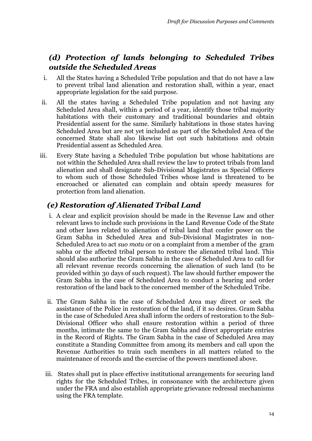# *(d) Protection of lands belonging to Scheduled Tribes outside the Scheduled Areas*

- i. All the States having a Scheduled Tribe population and that do not have a law to prevent tribal land alienation and restoration shall, within a year, enact appropriate legislation for the said purpose.
- ii. All the states having a Scheduled Tribe population and not having any Scheduled Area shall, within a period of a year, identify those tribal majority habitations with their customary and traditional boundaries and obtain Presidential assent for the same. Similarly habitations in those states having Scheduled Area but are not yet included as part of the Scheduled Area of the concerned State shall also likewise list out such habitations and obtain Presidential assent as Scheduled Area.
- iii. Every State having a Scheduled Tribe population but whose habitations are not within the Scheduled Area shall review the law to protect tribals from land alienation and shall designate Sub-Divisional Magistrates as Special Officers to whom such of those Scheduled Tribes whose land is threatened to be encroached or alienated can complain and obtain speedy measures for protection from land alienation.

# *(e) Restoration of Alienated Tribal Land*

- i. A clear and explicit provision should be made in the Revenue Law and other relevant laws to include such provisions in the Land Revenue Code of the State and other laws related to alienation of tribal land that confer power on the Gram Sabha in Scheduled Area and Sub-Divisional Magistrates in non-Scheduled Area to act *suo motu* or on a complaint from a member of the gram sabha or the affected tribal person to restore the alienated tribal land. This should also authorize the Gram Sabha in the case of Scheduled Area to call for all relevant revenue records concerning the alienation of such land (to be provided within 30 days of such request). The law should further empower the Gram Sabha in the case of Scheduled Area to conduct a hearing and order restoration of the land back to the concerned member of the Scheduled Tribe.
- ii. The Gram Sabha in the case of Scheduled Area may direct or seek the assistance of the Police in restoration of the land, if it so desires. Gram Sabha in the case of Scheduled Area shall inform the orders of restoration to the Sub-Divisional Officer who shall ensure restoration within a period of three months, intimate the same to the Gram Sabha and direct appropriate entries in the Record of Rights. The Gram Sabha in the case of Scheduled Area may constitute a Standing Committee from among its members and call upon the Revenue Authorities to train such members in all matters related to the maintenance of records and the exercise of the powers mentioned above.
- iii. States shall put in place effective institutional arrangements for securing land rights for the Scheduled Tribes, in consonance with the architecture given under the FRA and also establish appropriate grievance redressal mechanisms using the FRA template.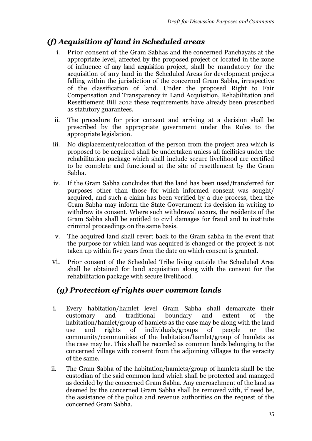## *(f) Acquisition of land in Scheduled areas*

- i. Prior consent of the Gram Sabhas and the concerned Panchayats at the appropriate level, affected by the proposed project or located in the zone of influence of any land acquisition project, shall be mandatory for the acquisition of any land in the Scheduled Areas for development projects falling within the jurisdiction of the concerned Gram Sabha, irrespective of the classification of land. Under the proposed Right to Fair Compensation and Transparency in Land Acquisition, Rehabilitation and Resettlement Bill 2012 these requirements have already been prescribed as statutory guarantees.
- ii. The procedure for prior consent and arriving at a decision shall be prescribed by the appropriate government under the Rules to the appropriate legislation.
- iii. No displacement/relocation of the person from the project area which is proposed to be acquired shall be undertaken unless all facilities under the rehabilitation package which shall include secure livelihood are certified to be complete and functional at the site of resettlement by the Gram Sabha.
- iv. If the Gram Sabha concludes that the land has been used/transferred for purposes other than those for which informed consent was sought/ acquired, and such a claim has been verified by a due process, then the Gram Sabha may inform the State Government its decision in writing to withdraw its consent. Where such withdrawal occurs, the residents of the Gram Sabha shall be entitled to civil damages for fraud and to institute criminal proceedings on the same basis.
- v. The acquired land shall revert back to the Gram sabha in the event that the purpose for which land was acquired is changed or the project is not taken up within five years from the date on which consent is granted.
- vi. Prior consent of the Scheduled Tribe living outside the Scheduled Area shall be obtained for land acquisition along with the consent for the rehabilitation package with secure livelihood.

# *(g) Protection of rights over common lands*

- i. Every habitation/hamlet level Gram Sabha shall demarcate their customary and traditional boundary and extent of the habitation/hamlet/group of hamlets as the case may be along with the land use and rights of individuals/groups of people or the community/communities of the habitation/hamlet/group of hamlets as the case may be. This shall be recorded as common lands belonging to the concerned village with consent from the adjoining villages to the veracity of the same.
- ii. The Gram Sabha of the habitation/hamlets/group of hamlets shall be the custodian of the said common land which shall be protected and managed as decided by the concerned Gram Sabha. Any encroachment of the land as deemed by the concerned Gram Sabha shall be removed with, if need be, the assistance of the police and revenue authorities on the request of the concerned Gram Sabha.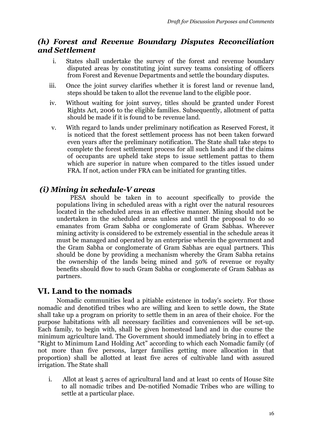#### *(h) Forest and Revenue Boundary Disputes Reconciliation and Settlement*

- i. States shall undertake the survey of the forest and revenue boundary disputed areas by constituting joint survey teams consisting of officers from Forest and Revenue Departments and settle the boundary disputes.
- iii. Once the joint survey clarifies whether it is forest land or revenue land, steps should be taken to allot the revenue land to the eligible poor.
- iv. Without waiting for joint survey, titles should be granted under Forest Rights Act, 2006 to the eligible families. Subsequently, allotment of patta should be made if it is found to be revenue land.
- v. With regard to lands under preliminary notification as Reserved Forest, it is noticed that the forest settlement process has not been taken forward even years after the preliminary notification. The State shall take steps to complete the forest settlement process for all such lands and if the claims of occupants are upheld take steps to issue settlement pattas to them which are superior in nature when compared to the titles issued under FRA. If not, action under FRA can be initiated for granting titles.

#### *(i) Mining in schedule-V areas*

 PESA should be taken in to account specifically to provide the populations living in scheduled areas with a right over the natural resources located in the scheduled areas in an effective manner. Mining should not be undertaken in the scheduled areas unless and until the proposal to do so emanates from Gram Sabha or conglomerate of Gram Sabhas. Wherever mining activity is considered to be extremely essential in the schedule areas it must be managed and operated by an enterprise wherein the government and the Gram Sabha or conglomerate of Gram Sabhas are equal partners. This should be done by providing a mechanism whereby the Gram Sabha retains the ownership of the lands being mined and 50% of revenue or royalty benefits should flow to such Gram Sabha or conglomerate of Gram Sabhas as partners.

## **VI. Land to the nomads**

Nomadic communities lead a pitiable existence in today's society. For those nomadic and denotified tribes who are willing and keen to settle down, the State shall take up a program on priority to settle them in an area of their choice. For the purpose habitations with all necessary facilities and conveniences will be set-up. Each family, to begin with, shall be given homestead land and in due course the minimum agriculture land. The Government should immediately bring in to effect a "Right to Minimum Land Holding Act" according to which each Nomadic family (of not more than five persons, larger families getting more allocation in that proportion) shall be allotted at least five acres of cultivable land with assured irrigation. The State shall

i. Allot at least 5 acres of agricultural land and at least 10 cents of House Site to all nomadic tribes and De-notified Nomadic Tribes who are willing to settle at a particular place.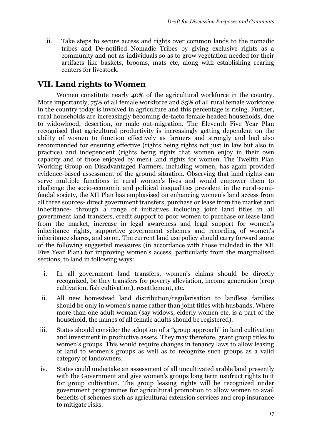ii. Take steps to secure access and rights over common lands to the nomadic tribes and De-notified Nomadic Tribes by giving exclusive rights as a community and not as individuals so as to grow vegetation needed for their artifacts like baskets, brooms, mats etc, along with establishing rearing centers for livestock.

#### **VII. Land rights to Women**

Women constitute nearly 40% of the agricultural workforce in the country. More importantly, 75% of all female workforce and 85% of all rural female workforce in the country today is involved in agriculture and this percentage is rising. Further, rural households are increasingly becoming de-facto female headed households, due to widowhood, desertion, or male out-migration. The Eleventh Five Year Plan recognised that agricultural productivity is increasingly getting dependent on the ability of women to function effectively as farmers and strongly and had also recommended for ensuring effective (rights being rights not just in law but also in practice) and independent (rights being rights that women enjoy in their own capacity and of those enjoyed by men) land rights for women. The Twelfth Plan Working Group on Disadvantaged Farmers, including women, has again provided evidence-based assessment of the ground situation. Observing that land rights can serve multiple functions in rural women's lives and would empower them to challenge the socio-economic and political inequalities prevalent in the rural-semifeudal society, the XII Plan has emphasised on enhancing women's land access from all three sources- direct government transfers, purchase or lease from the market and inheritance- through a range of initiatives including joint land titles in all government land transfers, credit support to poor women to purchase or lease land from the market, increase in legal awareness and legal support for women's inheritance rights, supportive government schemes and recording of women's inheritance shares, and so on. The current land use policy should carry forward some of the following suggested measures (in accordance with those included in the XII Five Year Plan) for improving women's access, particularly from the marginalised sections, to land in following ways:

- i. In all government land transfers, women's claims should be directly recognized, be they transfers for poverty alleviation, income generation (crop cultivation, fish cultivation), resettlement, etc.
- ii. All new homestead land distribution/regularisation to landless families should be only in women's name rather than joint titles with husbands. Where more than one adult woman (say widows, elderly women etc. is a part of the household, the names of all female adults should be registered).
- iii. States should consider the adoption of a "group approach" in land cultivation and investment in productive assets. They may therefore, grant group titles to women's groups. This would require changes in tenancy laws to allow leasing of land to women's groups as well as to recognize such groups as a valid category of landowners.
- iv. States could undertake an assessment of all uncultivated arable land presently with the Government and give women's groups long term usufruct rights to it for group cultivation*.* The group leasing rights will be recognized under government programmes for agricultural promotion to allow women to avail benefits of schemes such as agricultural extension services and crop insurance to mitigate risks.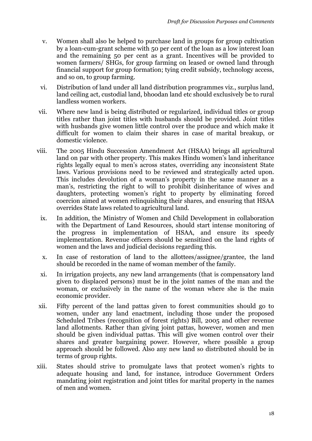- v. Women shall also be helped to purchase land in groups for group cultivation by a loan-cum-grant scheme with 50 per cent of the loan as a low interest loan and the remaining 50 per cent as a grant. Incentives will be provided to women farmers/ SHGs, for group farming on leased or owned land through financial support for group formation; tying credit subsidy, technology access, and so on, to group farming.
- vi. Distribution of land under all land distribution programmes viz., surplus land, land ceiling act, custodial land, bhoodan land etc should exclusively be to rural landless women workers.
- vii. Where new land is being distributed or regularized, individual titles or group titles rather than joint titles with husbands should be provided. Joint titles with husbands give women little control over the produce and which make it difficult for women to claim their shares in case of marital breakup, or domestic violence.
- viii. The 2005 Hindu Succession Amendment Act (HSAA) brings all agricultural land on par with other property. This makes Hindu women's land inheritance rights legally equal to men's across states, overriding any inconsistent State laws. Various provisions need to be reviewed and strategically acted upon. This includes devolution of a woman's property in the same manner as a man's, restricting the right to will to prohibit disinheritance of wives and daughters, protecting women's right to property by eliminating forced coercion aimed at women relinquishing their shares, and ensuring that HSAA overrides State laws related to agricultural land.
	- ix. In addition, the Ministry of Women and Child Development in collaboration with the Department of Land Resources, should start intense monitoring of the progress in implementation of HSAA, and ensure its speedy implementation. Revenue officers should be sensitized on the land rights of women and the laws and judicial decisions regarding this.
	- x. In case of restoration of land to the allottees/assignee/grantee, the land should be recorded in the name of woman member of the family.
	- xi. In irrigation projects, any new land arrangements (that is compensatory land given to displaced persons) must be in the joint names of the man and the woman, or exclusively in the name of the woman where she is the main economic provider.
- xii. Fifty percent of the land pattas given to forest communities should go to women, under any land enactment, including those under the proposed Scheduled Tribes (recognition of forest rights) Bill, 2005 and other revenue land allotments. Rather than giving joint pattas, however, women and men should be given individual pattas. This will give women control over their shares and greater bargaining power. However, where possible a group approach should be followed. Also any new land so distributed should be in terms of group rights.
- xiii. States should strive to promulgate laws that protect women's rights to adequate housing and land, for instance, introduce Government Orders mandating joint registration and joint titles for marital property in the names of men and women.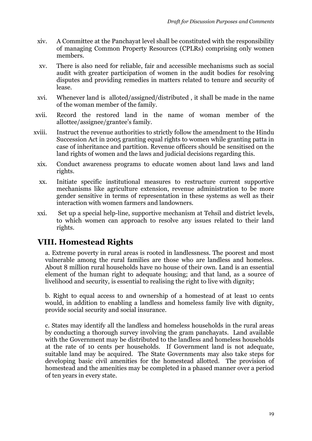- xiv. A Committee at the Panchayat level shall be constituted with the responsibility of managing Common Property Resources (CPLRs) comprising only women members.
- xv. There is also need for reliable, fair and accessible mechanisms such as social audit with greater participation of women in the audit bodies for resolving disputes and providing remedies in matters related to tenure and security of lease.
- xvi. Whenever land is alloted/assigned/distributed , it shall be made in the name of the woman member of the family.
- xvii. Record the restored land in the name of woman member of the allottee/assignee/grantee's family.
- xviii. Instruct the revenue authorities to strictly follow the amendment to the Hindu Succession Act in 2005 granting equal rights to women while granting patta in case of inheritance and partition. Revenue officers should be sensitised on the land rights of women and the laws and judicial decisions regarding this.
	- xix. Conduct awareness programs to educate women about land laws and land rights.
	- xx. Initiate specific institutional measures to restructure current supportive mechanisms like agriculture extension, revenue administration to be more gender sensitive in terms of representation in these systems as well as their interaction with women farmers and landowners.
	- xxi. Set up a special help-line, supportive mechanism at Tehsil and district levels, to which women can approach to resolve any issues related to their land rights.

## **VIII. Homestead Rights**

a. Extreme poverty in rural areas is rooted in landlessness. The poorest and most vulnerable among the rural families are those who are landless and homeless. About 8 million rural households have no house of their own. Land is an essential element of the human right to adequate housing; and that land, as a source of livelihood and security, is essential to realising the right to live with dignity;

b. Right to equal access to and ownership of a homestead of at least 10 cents would, in addition to enabling a landless and homeless family live with dignity, provide social security and social insurance.

c. States may identify all the landless and homeless households in the rural areas by conducting a thorough survey involving the gram panchayats. Land available with the Government may be distributed to the landless and homeless households at the rate of 10 cents per households. If Government land is not adequate, suitable land may be acquired. The State Governments may also take steps for developing basic civil amenities for the homestead allotted. The provision of homestead and the amenities may be completed in a phased manner over a period of ten years in every state.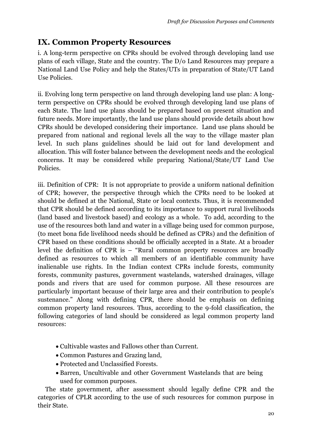# **IX. Common Property Resources**

i. A long-term perspective on CPRs should be evolved through developing land use plans of each village, State and the country. The D/o Land Resources may prepare a National Land Use Policy and help the States/UTs in preparation of State/UT Land Use Policies.

ii. Evolving long term perspective on land through developing land use plan: A longterm perspective on CPRs should be evolved through developing land use plans of each State. The land use plans should be prepared based on present situation and future needs. More importantly, the land use plans should provide details about how CPRs should be developed considering their importance. Land use plans should be prepared from national and regional levels all the way to the village master plan level. In such plans guidelines should be laid out for land development and allocation. This will foster balance between the development needs and the ecological concerns. It may be considered while preparing National/State/UT Land Use Policies.

iii. Definition of CPR: It is not appropriate to provide a uniform national definition of CPR; however, the perspective through which the CPRs need to be looked at should be defined at the National, State or local contexts. Thus, it is recommended that CPR should be defined according to its importance to support rural livelihoods (land based and livestock based) and ecology as a whole. To add, according to the use of the resources both land and water in a village being used for common purpose, (to meet bona fide livelihood needs should be defined as CPRs) and the definition of CPR based on these conditions should be officially accepted in a State. At a broader level the definition of CPR is – "Rural common property resources are broadly defined as resources to which all members of an identifiable community have inalienable use rights. In the Indian context CPRs include forests, community forests, community pastures, government wastelands, watershed drainages, village ponds and rivers that are used for common purpose. All these resources are particularly important because of their large area and their contribution to people's sustenance." Along with defining CPR, there should be emphasis on defining common property land resources. Thus, according to the 9-fold classification, the following categories of land should be considered as legal common property land resources:

- Cultivable wastes and Fallows other than Current.
- Common Pastures and Grazing land,
- Protected and Unclassified Forests.
- Barren, Uncultivable and other Government Wastelands that are being used for common purposes.

 The state government, after assessment should legally define CPR and the categories of CPLR according to the use of such resources for common purpose in their State.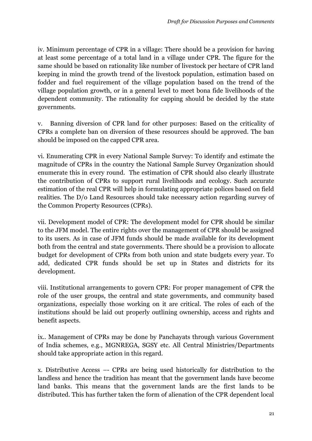iv. Minimum percentage of CPR in a village: There should be a provision for having at least some percentage of a total land in a village under CPR. The figure for the same should be based on rationality like number of livestock per hectare of CPR land keeping in mind the growth trend of the livestock population, estimation based on fodder and fuel requirement of the village population based on the trend of the village population growth, or in a general level to meet bona fide livelihoods of the dependent community. The rationality for capping should be decided by the state governments.

v. Banning diversion of CPR land for other purposes: Based on the criticality of CPRs a complete ban on diversion of these resources should be approved. The ban should be imposed on the capped CPR area.

vi. Enumerating CPR in every National Sample Survey: To identify and estimate the magnitude of CPRs in the country the National Sample Survey Organization should enumerate this in every round. The estimation of CPR should also clearly illustrate the contribution of CPRs to support rural livelihoods and ecology. Such accurate estimation of the real CPR will help in formulating appropriate polices based on field realities. The D/o Land Resources should take necessary action regarding survey of the Common Property Resources (CPRs).

vii. Development model of CPR: The development model for CPR should be similar to the JFM model. The entire rights over the management of CPR should be assigned to its users. As in case of JFM funds should be made available for its development both from the central and state governments. There should be a provision to allocate budget for development of CPRs from both union and state budgets every year. To add, dedicated CPR funds should be set up in States and districts for its development.

viii. Institutional arrangements to govern CPR: For proper management of CPR the role of the user groups, the central and state governments, and community based organizations, especially those working on it are critical. The roles of each of the institutions should be laid out properly outlining ownership, access and rights and benefit aspects.

ix.. Management of CPRs may be done by Panchayats through various Government of India schemes, e.g., MGNREGA, SGSY etc. All Central Ministries/Departments should take appropriate action in this regard.

x. Distributive Access –- CPRs are being used historically for distribution to the landless and hence the tradition has meant that the government lands have become land banks. This means that the government lands are the first lands to be distributed. This has further taken the form of alienation of the CPR dependent local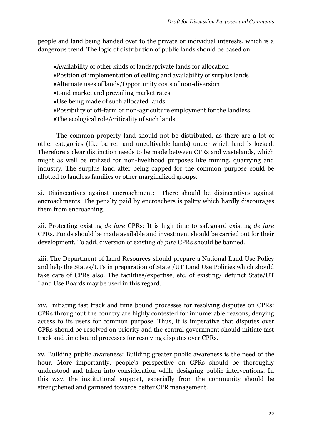people and land being handed over to the private or individual interests, which is a dangerous trend. The logic of distribution of public lands should be based on:

- Availability of other kinds of lands/private lands for allocation
- Position of implementation of ceiling and availability of surplus lands
- Alternate uses of lands/Opportunity costs of non-diversion
- Land market and prevailing market rates
- Use being made of such allocated lands
- Possibility of off-farm or non-agriculture employment for the landless.
- The ecological role/criticality of such lands

The common property land should not be distributed, as there are a lot of other categories (like barren and uncultivable lands) under which land is locked. Therefore a clear distinction needs to be made between CPRs and wastelands, which might as well be utilized for non-livelihood purposes like mining, quarrying and industry. The surplus land after being capped for the common purpose could be allotted to landless families or other marginalized groups.

xi. Disincentives against encroachment: There should be disincentives against encroachments. The penalty paid by encroachers is paltry which hardly discourages them from encroaching.

xii. Protecting existing *de jure* CPRs: It is high time to safeguard existing *de jure*  CPRs. Funds should be made available and investment should be carried out for their development. To add, diversion of existing *de jure* CPRs should be banned.

xiii. The Department of Land Resources should prepare a National Land Use Policy and help the States/UTs in preparation of State /UT Land Use Policies which should take care of CPRs also. The facilities/expertise, etc. of existing/ defunct State/UT Land Use Boards may be used in this regard.

xiv. Initiating fast track and time bound processes for resolving disputes on CPRs: CPRs throughout the country are highly contested for innumerable reasons, denying access to its users for common purpose. Thus, it is imperative that disputes over CPRs should be resolved on priority and the central government should initiate fast track and time bound processes for resolving disputes over CPRs.

xv. Building public awareness: Building greater public awareness is the need of the hour. More importantly, people's perspective on CPRs should be thoroughly understood and taken into consideration while designing public interventions. In this way, the institutional support, especially from the community should be strengthened and garnered towards better CPR management.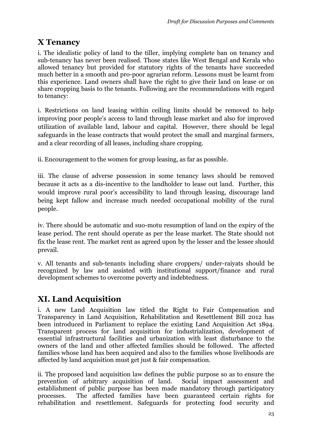# **X Tenancy**

i. The idealistic policy of land to the tiller, implying complete ban on tenancy and sub-tenancy has never been realised. Those states like West Bengal and Kerala who allowed tenancy but provided for statutory rights of the tenants have succeeded much better in a smooth and pro-poor agrarian reform. Lessons must be learnt from this experience. Land owners shall have the right to give their land on lease or on share cropping basis to the tenants. Following are the recommendations with regard to tenancy:

i. Restrictions on land leasing within ceiling limits should be removed to help improving poor people's access to land through lease market and also for improved utilization of available land, labour and capital. However, there should be legal safeguards in the lease contracts that would protect the small and marginal farmers, and a clear recording of all leases, including share cropping.

ii. Encouragement to the women for group leasing, as far as possible.

iii. The clause of adverse possession in some tenancy laws should be removed because it acts as a dis-incentive to the landholder to lease out land. Further, this would improve rural poor's accessibility to land through leasing, discourage land being kept fallow and increase much needed occupational mobility of the rural people.

iv. There should be automatic and suo-motu resumption of land on the expiry of the lease period. The rent should operate as per the lease market. The State should not fix the lease rent. The market rent as agreed upon by the lesser and the lessee should prevail.

v. All tenants and sub-tenants including share croppers/ under-raiyats should be recognized by law and assisted with institutional support/finance and rural development schemes to overcome poverty and indebtedness.

# **XI. Land Acquisition**

i. A new Land Acquisition law titled the Right to Fair Compensation and Transparency in Land Acquisition, Rehabilitation and Resettlement Bill 2012 has been introduced in Parliament to replace the existing Land Acquisition Act 1894. Transparent process for land acquisition for industrialization, development of essential infrastructural facilities and urbanization with least disturbance to the owners of the land and other affected families should be followed. The affected families whose land has been acquired and also to the families whose livelihoods are affected by land acquisition must get just & fair compensation.

ii. The proposed land acquisition law defines the public purpose so as to ensure the prevention of arbitrary acquisition of land. Social impact assessment and establishment of public purpose has been made mandatory through participatory processes. The affected families have been guaranteed certain rights for rehabilitation and resettlement. Safeguards for protecting food security and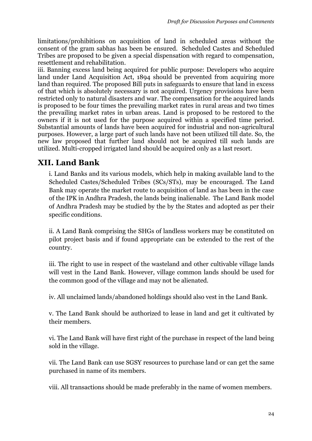limitations/prohibitions on acquisition of land in scheduled areas without the consent of the gram sabhas has been be ensured. Scheduled Castes and Scheduled Tribes are proposed to be given a special dispensation with regard to compensation, resettlement and rehabilitation.

iii. Banning excess land being acquired for public purpose: Developers who acquire land under Land Acquisition Act, 1894 should be prevented from acquiring more land than required. The proposed Bill puts in safeguards to ensure that land in excess of that which is absolutely necessary is not acquired. Urgency provisions have been restricted only to natural disasters and war. The compensation for the acquired lands is proposed to be four times the prevailing market rates in rural areas and two times the prevailing market rates in urban areas. Land is proposed to be restored to the owners if it is not used for the purpose acquired within a specified time period. Substantial amounts of lands have been acquired for industrial and non-agricultural purposes. However, a large part of such lands have not been utilized till date. So, the new law proposed that further land should not be acquired till such lands are utilized. Multi-cropped irrigated land should be acquired only as a last resort.

# **XII. Land Bank**

i. Land Banks and its various models, which help in making available land to the Scheduled Castes/Scheduled Tribes (SCs/STs), may be encouraged. The Land Bank may operate the market route to acquisition of land as has been in the case of the IPK in Andhra Pradesh, the lands being inalienable. The Land Bank model of Andhra Pradesh may be studied by the by the States and adopted as per their specific conditions.

ii. A Land Bank comprising the SHGs of landless workers may be constituted on pilot project basis and if found appropriate can be extended to the rest of the country.

iii. The right to use in respect of the wasteland and other cultivable village lands will vest in the Land Bank. However, village common lands should be used for the common good of the village and may not be alienated.

iv. All unclaimed lands/abandoned holdings should also vest in the Land Bank.

v. The Land Bank should be authorized to lease in land and get it cultivated by their members.

vi. The Land Bank will have first right of the purchase in respect of the land being sold in the village.

vii. The Land Bank can use SGSY resources to purchase land or can get the same purchased in name of its members.

viii. All transactions should be made preferably in the name of women members.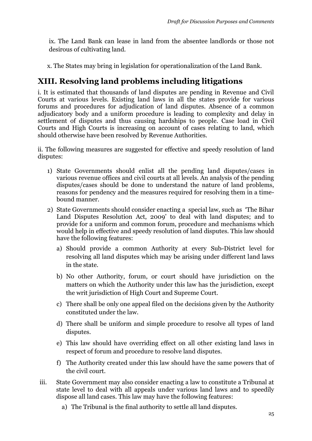ix. The Land Bank can lease in land from the absentee landlords or those not desirous of cultivating land.

x. The States may bring in legislation for operationalization of the Land Bank.

# **XIII. Resolving land problems including litigations**

i. It is estimated that thousands of land disputes are pending in Revenue and Civil Courts at various levels. Existing land laws in all the states provide for various forums and procedures for adjudication of land disputes. Absence of a common adjudicatory body and a uniform procedure is leading to complexity and delay in settlement of disputes and thus causing hardships to people. Case load in Civil Courts and High Courts is increasing on account of cases relating to land, which should otherwise have been resolved by Revenue Authorities.

ii. The following measures are suggested for effective and speedy resolution of land disputes:

- 1) State Governments should enlist all the pending land disputes/cases in various revenue offices and civil courts at all levels. An analysis of the pending disputes/cases should be done to understand the nature of land problems, reasons for pendency and the measures required for resolving them in a timebound manner.
- 2) State Governments should consider enacting a special law, such as 'The Bihar Land Disputes Resolution Act, 2009' to deal with land disputes; and to provide for a uniform and common forum, procedure and mechanisms which would help in effective and speedy resolution of land disputes. This law should have the following features:
	- a) Should provide a common Authority at every Sub-District level for resolving all land disputes which may be arising under different land laws in the state.
	- b) No other Authority, forum, or court should have jurisdiction on the matters on which the Authority under this law has the jurisdiction, except the writ jurisdiction of High Court and Supreme Court.
	- c) There shall be only one appeal filed on the decisions given by the Authority constituted under the law.
	- d) There shall be uniform and simple procedure to resolve all types of land disputes.
	- e) This law should have overriding effect on all other existing land laws in respect of forum and procedure to resolve land disputes.
	- f) The Authority created under this law should have the same powers that of the civil court.
- iii. State Government may also consider enacting a law to constitute a Tribunal at state level to deal with all appeals under various land laws and to speedily dispose all land cases. This law may have the following features:
	- a) The Tribunal is the final authority to settle all land disputes.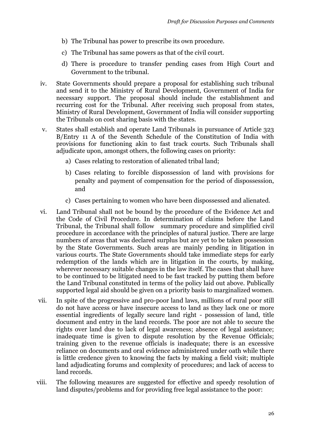- b) The Tribunal has power to prescribe its own procedure.
- c) The Tribunal has same powers as that of the civil court.
- d) There is procedure to transfer pending cases from High Court and Government to the tribunal.
- iv. State Governments should prepare a proposal for establishing such tribunal and send it to the Ministry of Rural Development, Government of India for necessary support. The proposal should include the establishment and recurring cost for the Tribunal. After receiving such proposal from states, Ministry of Rural Development, Government of India will consider supporting the Tribunals on cost sharing basis with the states.
- v. States shall establish and operate Land Tribunals in pursuance of Article 323 B/Entry 11 A of the Seventh Schedule of the Constitution of India with provisions for functioning akin to fast track courts. Such Tribunals shall adjudicate upon, amongst others, the following cases on priority:
	- a) Cases relating to restoration of alienated tribal land;
	- b) Cases relating to forcible dispossession of land with provisions for penalty and payment of compensation for the period of dispossession, and
	- c) Cases pertaining to women who have been dispossessed and alienated.
- vi. Land Tribunal shall not be bound by the procedure of the Evidence Act and the Code of Civil Procedure. In determination of claims before the Land Tribunal, the Tribunal shall follow summary procedure and simplified civil procedure in accordance with the principles of natural justice. There are large numbers of areas that was declared surplus but are yet to be taken possession by the State Governments. Such areas are mainly pending in litigation in various courts. The State Governments should take immediate steps for early redemption of the lands which are in litigation in the courts, by making, wherever necessary suitable changes in the law itself. The cases that shall have to be continued to be litigated need to be fast tracked by putting them before the Land Tribunal constituted in terms of the policy laid out above. Publically supported legal aid should be given on a priority basis to marginalized women.
- vii. In spite of the progressive and pro-poor land laws, millions of rural poor still do not have access or have insecure access to land as they lack one or more essential ingredients of legally secure land right - possession of land, title document and entry in the land records. The poor are not able to secure the rights over land due to lack of legal awareness; absence of legal assistance; inadequate time is given to dispute resolution by the Revenue Officials; training given to the revenue officials is inadequate; there is an excessive reliance on documents and oral evidence administered under oath while there is little credence given to knowing the facts by making a field visit; multiple land adjudicating forums and complexity of procedures; and lack of access to land records.
- viii. The following measures are suggested for effective and speedy resolution of land disputes/problems and for providing free legal assistance to the poor: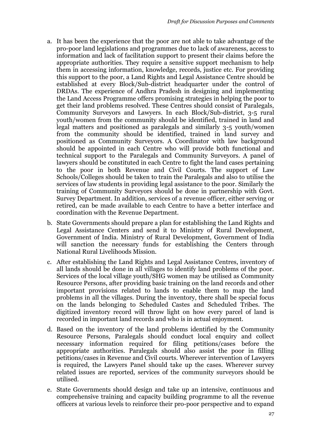- a. It has been the experience that the poor are not able to take advantage of the pro-poor land legislations and programmes due to lack of awareness, access to information and lack of facilitation support to present their claims before the appropriate authorities. They require a sensitive support mechanism to help them in accessing information, knowledge, records, justice etc. For providing this support to the poor, a Land Rights and Legal Assistance Centre should be established at every Block/Sub-district headquarter under the control of DRDAs. The experience of Andhra Pradesh in designing and implementing the Land Access Programme offers promising strategies in helping the poor to get their land problems resolved. These Centres should consist of Paralegals, Community Surveyors and Lawyers. In each Block/Sub-district, 3-5 rural youth/women from the community should be identified, trained in land and legal matters and positioned as paralegals and similarly 3-5 youth/women from the community should be identified, trained in land survey and positioned as Community Surveyors. A Coordinator with law background should be appointed in each Centre who will provide both functional and technical support to the Paralegals and Community Surveyors. A panel of lawyers should be constituted in each Centre to fight the land cases pertaining to the poor in both Revenue and Civil Courts. The support of Law Schools/Colleges should be taken to train the Paralegals and also to utilise the services of law students in providing legal assistance to the poor. Similarly the training of Community Surveyors should be done in partnership with Govt. Survey Department. In addition, services of a revenue officer, either serving or retired, can be made available to each Centre to have a better interface and coordination with the Revenue Department.
- b. State Governments should prepare a plan for establishing the Land Rights and Legal Assistance Centers and send it to Ministry of Rural Development, Government of India. Ministry of Rural Development, Government of India will sanction the necessary funds for establishing the Centers through National Rural Livelihoods Mission.
- c. After establishing the Land Rights and Legal Assistance Centres, inventory of all lands should be done in all villages to identify land problems of the poor. Services of the local village youth/SHG women may be utilised as Community Resource Persons, after providing basic training on the land records and other important provisions related to lands to enable them to map the land problems in all the villages. During the inventory, there shall be special focus on the lands belonging to Scheduled Castes and Scheduled Tribes. The digitized inventory record will throw light on how every parcel of land is recorded in important land records and who is in actual enjoyment.
- d. Based on the inventory of the land problems identified by the Community Resource Persons, Paralegals should conduct local enquiry and collect necessary information required for filing petitions/cases before the appropriate authorities. Paralegals should also assist the poor in filling petitions/cases in Revenue and Civil courts. Wherever intervention of Lawyers is required, the Lawyers Panel should take up the cases. Wherever survey related issues are reported, services of the community surveyors should be utilised.
- e. State Governments should design and take up an intensive, continuous and comprehensive training and capacity building programme to all the revenue officers at various levels to reinforce their pro-poor perspective and to expand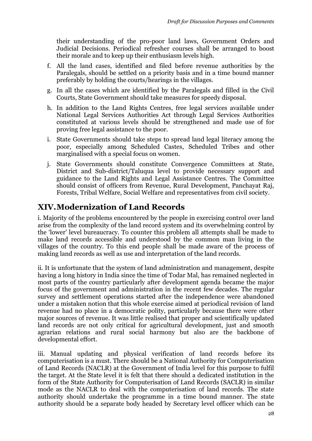their understanding of the pro-poor land laws, Government Orders and Judicial Decisions. Periodical refresher courses shall be arranged to boost their morale and to keep up their enthusiasm levels high.

- f. All the land cases, identified and filed before revenue authorities by the Paralegals, should be settled on a priority basis and in a time bound manner preferably by holding the courts/hearings in the villages.
- g. In all the cases which are identified by the Paralegals and filled in the Civil Courts, State Government should take measures for speedy disposal.
- h. In addition to the Land Rights Centres, free legal services available under National Legal Services Authorities Act through Legal Services Authorities constituted at various levels should be strengthened and made use of for proving free legal assistance to the poor.
- i. State Governments should take steps to spread land legal literacy among the poor, especially among Scheduled Castes, Scheduled Tribes and other marginalised with a special focus on women.
- j. State Governments should constitute Convergence Committees at State, District and Sub-district/Taluqua level to provide necessary support and guidance to the Land Rights and Legal Assistance Centres. The Committee should consist of officers from Revenue, Rural Development, Panchayat Raj, Forests, Tribal Welfare, Social Welfare and representatives from civil society.

# **XIV.Modernization of Land Records**

i. Majority of the problems encountered by the people in exercising control over land arise from the complexity of the land record system and its overwhelming control by the 'lower' level bureaucracy. To counter this problem all attempts shall be made to make land records accessible and understood by the common man living in the villages of the country. To this end people shall be made aware of the process of making land records as well as use and interpretation of the land records.

ii. It is unfortunate that the system of land administration and management, despite having a long history in India since the time of Todar Mal, has remained neglected in most parts of the country particularly after development agenda became the major focus of the government and administration in the recent few decades. The regular survey and settlement operations started after the independence were abandoned under a mistaken notion that this whole exercise aimed at periodical revision of land revenue had no place in a democratic polity, particularly because there were other major sources of revenue. It was little realised that proper and scientifically updated land records are not only critical for agricultural development, just and smooth agrarian relations and rural social harmony but also are the backbone of developmental effort.

iii. Manual updating and physical verification of land records before its computerisation is a must. There should be a National Authority for Computerisation of Land Records (NACLR) at the Government of India level for this purpose to fulfil the target. At the State level it is felt that there should a dedicated institution in the form of the State Authority for Computerisation of Land Records (SACLR) in similar mode as the NACLR to deal with the computerisation of land records. The state authority should undertake the programme in a time bound manner. The state authority should be a separate body headed by Secretary level officer which can be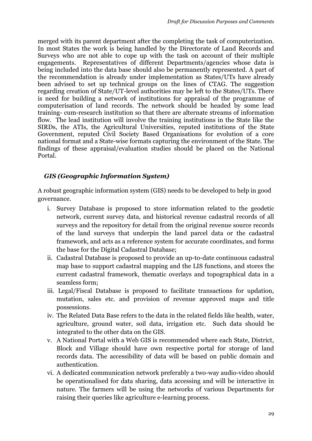merged with its parent department after the completing the task of computerization. In most States the work is being handled by the Directorate of Land Records and Surveys who are not able to cope up with the task on account of their multiple engagements. Representatives of different Departments/agencies whose data is being included into the data base should also be permanently represented. A part of the recommendation is already under implementation as States/UTs have already been advised to set up technical groups on the lines of CTAG. The suggestion regarding creation of State/UT-level authorities may be left to the States/UTs. There is need for building a network of institutions for appraisal of the programme of computerisation of land records. The network should be headed by some lead training- cum-research institution so that there are alternate streams of information flow. The lead institution will involve the training institutions in the State like the SIRDs, the ATIs, the Agricultural Universities, reputed institutions of the State Government, reputed Civil Society Based Organisations for evolution of a core national format and a State-wise formats capturing the environment of the State. The findings of these appraisal/evaluation studies should be placed on the National Portal.

#### *GIS (Geographic Information System)*

A robust geographic information system (GIS) needs to be developed to help in good governance.

- i. Survey Database is proposed to store information related to the geodetic network, current survey data, and historical revenue cadastral records of all surveys and the repository for detail from the original revenue source records of the land surveys that underpin the land parcel data or the cadastral framework, and acts as a reference system for accurate coordinates, and forms the base for the Digital Cadastral Database;
- ii. Cadastral Database is proposed to provide an up-to-date continuous cadastral map base to support cadastral mapping and the LIS functions, and stores the current cadastral framework, thematic overlays and topographical data in a seamless form;
- iii. Legal/Fiscal Database is proposed to facilitate transactions for updation, mutation, sales etc. and provision of revenue approved maps and title possessions.
- iv. The Related Data Base refers to the data in the related fields like health, water, agriculture, ground water, soil data, irrigation etc. Such data should be integrated to the other data on the GIS.
- v. A National Portal with a Web GIS is recommended where each State, District, Block and Village should have own respective portal for storage of land records data. The accessibility of data will be based on public domain and authentication.
- vi. A dedicated communication network preferably a two-way audio-video should be operationalised for data sharing, data accessing and will be interactive in nature. The farmers will be using the networks of various Departments for raising their queries like agriculture e-learning process.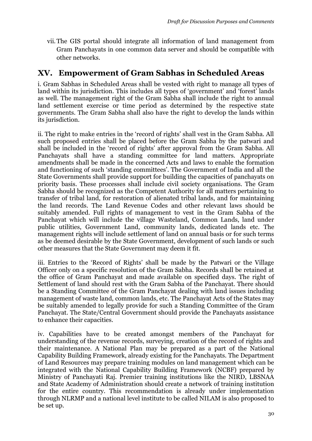vii.The GIS portal should integrate all information of land management from Gram Panchayats in one common data server and should be compatible with other networks.

## **XV. Empowerment of Gram Sabhas in Scheduled Areas**

i. Gram Sabhas in Scheduled Areas shall be vested with right to manage all types of land within its jurisdiction. This includes all types of 'government' and 'forest' lands as well. The management right of the Gram Sabha shall include the right to annual land settlement exercise or time period as determined by the respective state governments. The Gram Sabha shall also have the right to develop the lands within its jurisdiction.

ii. The right to make entries in the 'record of rights' shall vest in the Gram Sabha. All such proposed entries shall be placed before the Gram Sabha by the patwari and shall be included in the 'record of rights' after approval from the Gram Sabha. All Panchayats shall have a standing committee for land matters. Appropriate amendments shall be made in the concerned Acts and laws to enable the formation and functioning of such 'standing committees'. The Government of India and all the State Governments shall provide support for building the capacities of panchayats on priority basis. These processes shall include civil society organisations. The Gram Sabha should be recognized as the Competent Authority for all matters pertaining to transfer of tribal land, for restoration of alienated tribal lands, and for maintaining the land records. The Land Revenue Codes and other relevant laws should be suitably amended. Full rights of management to vest in the Gram Sabha of the Panchayat which will include the village Wasteland, Common Lands, land under public utilities, Government Land, community lands, dedicated lands etc. The management rights will include settlement of land on annual basis or for such terms as be deemed desirable by the State Government, development of such lands or such other measures that the State Government may deem it fit.

iii. Entries to the 'Record of Rights' shall be made by the Patwari or the Village Officer only on a specific resolution of the Gram Sabha. Records shall be retained at the office of Gram Panchayat and made available on specified days. The right of Settlement of land should rest with the Gram Sabha of the Panchayat. There should be a Standing Committee of the Gram Panchayat dealing with land issues including management of waste land, common lands, etc. The Panchayat Acts of the States may be suitably amended to legally provide for such a Standing Committee of the Gram Panchayat. The State/Central Government should provide the Panchayats assistance to enhance their capacities.

iv. Capabilities have to be created amongst members of the Panchayat for understanding of the revenue records, surveying, creation of the record of rights and their maintenance. A National Plan may be prepared as a part of the National Capability Building Framework, already existing for the Panchayats. The Department of Land Resources may prepare training modules on land management which can be integrated with the National Capability Building Framework (NCBF) prepared by Ministry of Panchayati Raj. Premier training institutions like the NIRD, LBSNAA and State Academy of Administration should create a network of training institution for the entire country. This recommendation is already under implementation through NLRMP and a national level institute to be called NILAM is also proposed to be set up.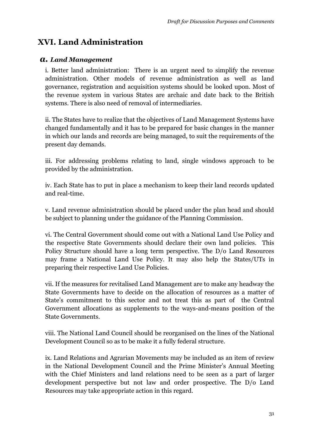# **XVI. Land Administration**

#### *a. Land Management*

i. Better land administration: There is an urgent need to simplify the revenue administration. Other models of revenue administration as well as land governance, registration and acquisition systems should be looked upon. Most of the revenue system in various States are archaic and date back to the British systems. There is also need of removal of intermediaries.

ii. The States have to realize that the objectives of Land Management Systems have changed fundamentally and it has to be prepared for basic changes in the manner in which our lands and records are being managed, to suit the requirements of the present day demands.

iii. For addressing problems relating to land, single windows approach to be provided by the administration.

iv. Each State has to put in place a mechanism to keep their land records updated and real-time.

v. Land revenue administration should be placed under the plan head and should be subject to planning under the guidance of the Planning Commission.

vi. The Central Government should come out with a National Land Use Policy and the respective State Governments should declare their own land policies. This Policy Structure should have a long term perspective. The D/o Land Resources may frame a National Land Use Policy. It may also help the States/UTs in preparing their respective Land Use Policies.

vii. If the measures for revitalised Land Management are to make any headway the State Governments have to decide on the allocation of resources as a matter of State's commitment to this sector and not treat this as part of the Central Government allocations as supplements to the ways-and-means position of the State Governments.

viii. The National Land Council should be reorganised on the lines of the National Development Council so as to be make it a fully federal structure.

ix. Land Relations and Agrarian Movements may be included as an item of review in the National Development Council and the Prime Minister's Annual Meeting with the Chief Ministers and land relations need to be seen as a part of larger development perspective but not law and order prospective. The D/o Land Resources may take appropriate action in this regard.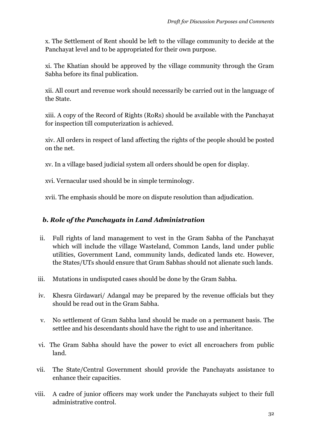x. The Settlement of Rent should be left to the village community to decide at the Panchayat level and to be appropriated for their own purpose.

xi. The Khatian should be approved by the village community through the Gram Sabha before its final publication.

xii. All court and revenue work should necessarily be carried out in the language of the State.

xiii. A copy of the Record of Rights (RoRs) should be available with the Panchayat for inspection till computerization is achieved.

xiv. All orders in respect of land affecting the rights of the people should be posted on the net.

xv. In a village based judicial system all orders should be open for display.

xvi. Vernacular used should be in simple terminology.

xvii. The emphasis should be more on dispute resolution than adjudication.

#### *b. Role of the Panchayats in Land Administration*

- ii. Full rights of land management to vest in the Gram Sabha of the Panchayat which will include the village Wasteland, Common Lands, land under public utilities, Government Land, community lands, dedicated lands etc. However, the States/UTs should ensure that Gram Sabhas should not alienate such lands.
- iii. Mutations in undisputed cases should be done by the Gram Sabha.
- iv. Khesra Girdawari/ Adangal may be prepared by the revenue officials but they should be read out in the Gram Sabha.
- v. No settlement of Gram Sabha land should be made on a permanent basis. The settlee and his descendants should have the right to use and inheritance.
- vi. The Gram Sabha should have the power to evict all encroachers from public land.
- vii. The State/Central Government should provide the Panchayats assistance to enhance their capacities.
- viii. A cadre of junior officers may work under the Panchayats subject to their full administrative control.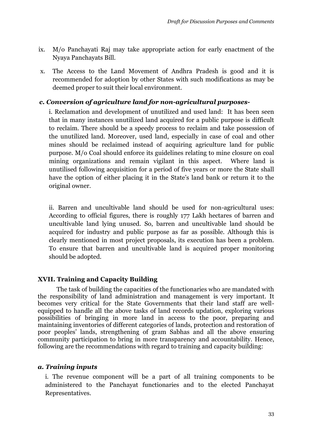- ix. M/o Panchayati Raj may take appropriate action for early enactment of the Nyaya Panchayats Bill.
- x. The Access to the Land Movement of Andhra Pradesh is good and it is recommended for adoption by other States with such modifications as may be deemed proper to suit their local environment.

#### *c. Conversion of agriculture land for non-agricultural purposes-*

i. Reclamation and development of unutilized and used land: It has been seen that in many instances unutilized land acquired for a public purpose is difficult to reclaim. There should be a speedy process to reclaim and take possession of the unutilized land. Moreover, used land, especially in case of coal and other mines should be reclaimed instead of acquiring agriculture land for public purpose. M/o Coal should enforce its guidelines relating to mine closure on coal mining organizations and remain vigilant in this aspect. Where land is unutilised following acquisition for a period of five years or more the State shall have the option of either placing it in the State's land bank or return it to the original owner.

ii. Barren and uncultivable land should be used for non-agricultural uses: According to official figures, there is roughly 177 Lakh hectares of barren and uncultivable land lying unused. So, barren and uncultivable land should be acquired for industry and public purpose as far as possible. Although this is clearly mentioned in most project proposals, its execution has been a problem. To ensure that barren and uncultivable land is acquired proper monitoring should be adopted.

#### **XVII. Training and Capacity Building**

The task of building the capacities of the functionaries who are mandated with the responsibility of land administration and management is very important. It becomes very critical for the State Governments that their land staff are wellequipped to handle all the above tasks of land records updation, exploring various possibilities of bringing in more land in access to the poor, preparing and maintaining inventories of different categories of lands, protection and restoration of poor peoples' lands, strengthening of gram Sabhas and all the above ensuring community participation to bring in more transparency and accountability. Hence, following are the recommendations with regard to training and capacity building:

#### *a. Training inputs*

i. The revenue component will be a part of all training components to be administered to the Panchayat functionaries and to the elected Panchayat Representatives.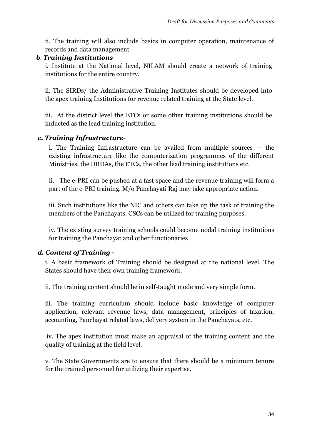ii. The training will also include basics in computer operation, maintenance of records and data management

#### *b*. *Training Institutions*-

i. Institute at the National level, NILAM should create a network of training institutions for the entire country.

ii. The SIRDs/ the Administrative Training Institutes should be developed into the apex training Institutions for revenue related training at the State level.

iii. At the district level the ETCs or some other training institutions should be inducted as the lead training institution.

#### *c. Training Infrastructure-*

i. The Training Infrastructure can be availed from multiple sources — the existing infrastructure like the computerization programmes of the different Ministries, the DRDAs, the ETCs, the other lead training institutions etc.

ii. The e-PRI can be pushed at a fast space and the revenue training will form a part of the e-PRI training. M/o Panchayati Raj may take appropriate action.

iii. Such institutions like the NIC and others can take up the task of training the members of the Panchayats. CSCs can be utilized for training purposes.

iv. The existing survey training schools could become nodal training institutions for training the Panchayat and other functionaries

#### *d. Content of Training -*

i. A basic framework of Training should be designed at the national level. The States should have their own training framework.

ii. The training content should be in self-taught mode and very simple form.

iii. The training curriculum should include basic knowledge of computer application, relevant revenue laws, data management, principles of taxation, accounting, Panchayat related laws, delivery system in the Panchayats, etc.

iv. The apex institution must make an appraisal of the training content and the quality of training at the field level.

v. The State Governments are to ensure that there should be a minimum tenure for the trained personnel for utilizing their expertise.